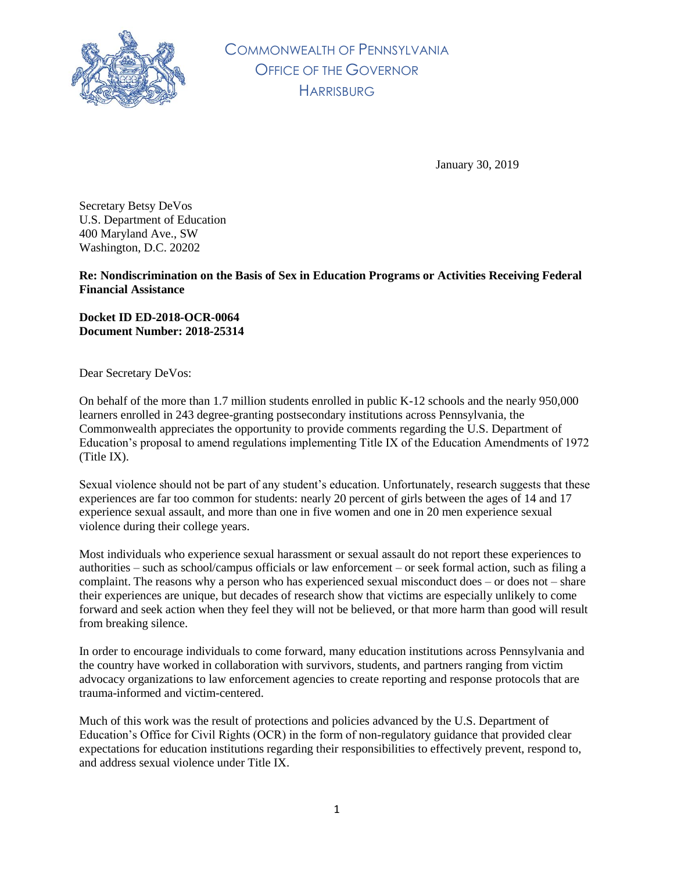

COMMONWEALTH OF PENNSYLVANIA OFFICE OF THE GOVERNOR **HARRISBURG** 

January 30, 2019

Secretary Betsy DeVos U.S. Department of Education 400 Maryland Ave., SW Washington, D.C. 20202

**Re: Nondiscrimination on the Basis of Sex in Education Programs or Activities Receiving Federal Financial Assistance**

**Docket ID ED-2018-OCR-0064 Document Number: 2018-25314**

Dear Secretary DeVos:

On behalf of the more than 1.7 million students enrolled in public K-12 schools and the nearly 950,000 learners enrolled in 243 degree-granting postsecondary institutions across Pennsylvania, the Commonwealth appreciates the opportunity to provide comments regarding the U.S. Department of Education's proposal to amend regulations implementing Title IX of the Education Amendments of 1972 (Title IX).

Sexual violence should not be part of any student's education. Unfortunately, research suggests that these experiences are far too common for students: nearly 20 percent of girls between the ages of 14 and 17 experience sexual assault, and more than one in five women and one in 20 men experience sexual violence during their college years.

Most individuals who experience sexual harassment or sexual assault do not report these experiences to authorities – such as school/campus officials or law enforcement – or seek formal action, such as filing a complaint. The reasons why a person who has experienced sexual misconduct does – or does not – share their experiences are unique, but decades of research show that victims are especially unlikely to come forward and seek action when they feel they will not be believed, or that more harm than good will result from breaking silence.

In order to encourage individuals to come forward, many education institutions across Pennsylvania and the country have worked in collaboration with survivors, students, and partners ranging from victim advocacy organizations to law enforcement agencies to create reporting and response protocols that are trauma-informed and victim-centered.

Much of this work was the result of protections and policies advanced by the U.S. Department of Education's Office for Civil Rights (OCR) in the form of non-regulatory guidance that provided clear expectations for education institutions regarding their responsibilities to effectively prevent, respond to, and address sexual violence under Title IX.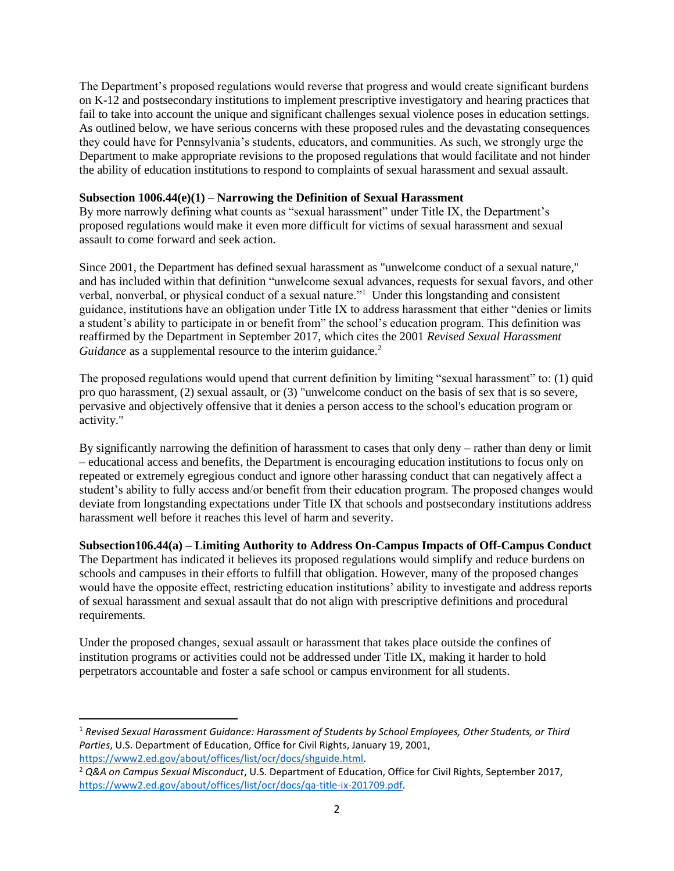The Department's proposed regulations would reverse that progress and would create significant burdens on K-12 and postsecondary institutions to implement prescriptive investigatory and hearing practices that fail to take into account the unique and significant challenges sexual violence poses in education settings. As outlined below, we have serious concerns with these proposed rules and the devastating consequences they could have for Pennsylvania's students, educators, and communities. As such, we strongly urge the Department to make appropriate revisions to the proposed regulations that would facilitate and not hinder the ability of education institutions to respond to complaints of sexual harassment and sexual assault.

### **Subsection 1006.44(e)(1) – Narrowing the Definition of Sexual Harassment**

By more narrowly defining what counts as "sexual harassment" under Title IX, the Department's proposed regulations would make it even more difficult for victims of sexual harassment and sexual assault to come forward and seek action.

Since 2001, the Department has defined sexual harassment as "unwelcome conduct of a sexual nature," and has included within that definition "unwelcome sexual advances, requests for sexual favors, and other verbal, nonverbal, or physical conduct of a sexual nature."<sup>1</sup> Under this longstanding and consistent guidance, institutions have an obligation under Title IX to address harassment that either "denies or limits a student's ability to participate in or benefit from" the school's education program. This definition was reaffirmed by the Department in September 2017, which cites the 2001 *Revised Sexual Harassment Guidance* as a supplemental resource to the interim guidance.<sup>2</sup>

The proposed regulations would upend that current definition by limiting "sexual harassment" to: (1) quid pro quo harassment, (2) sexual assault, or (3) "unwelcome conduct on the basis of sex that is so severe, pervasive and objectively offensive that it denies a person access to the school's education program or activity."

By significantly narrowing the definition of harassment to cases that only deny – rather than deny or limit – educational access and benefits, the Department is encouraging education institutions to focus only on repeated or extremely egregious conduct and ignore other harassing conduct that can negatively affect a student's ability to fully access and/or benefit from their education program. The proposed changes would deviate from longstanding expectations under Title IX that schools and postsecondary institutions address harassment well before it reaches this level of harm and severity.

**Subsection106.44(a) – Limiting Authority to Address On-Campus Impacts of Off-Campus Conduct** The Department has indicated it believes its proposed regulations would simplify and reduce burdens on schools and campuses in their efforts to fulfill that obligation. However, many of the proposed changes would have the opposite effect, restricting education institutions' ability to investigate and address reports of sexual harassment and sexual assault that do not align with prescriptive definitions and procedural requirements.

Under the proposed changes, sexual assault or harassment that takes place outside the confines of institution programs or activities could not be addressed under Title IX, making it harder to hold perpetrators accountable and foster a safe school or campus environment for all students.

 $\overline{\phantom{a}}$ 

<sup>1</sup> *Revised Sexual Harassment Guidance: Harassment of Students by School Employees, Other Students, or Third Parties*, U.S. Department of Education, Office for Civil Rights, January 19, 2001, [https://www2.ed.gov/about/offices/list/ocr/docs/shguide.html.](https://www2.ed.gov/about/offices/list/ocr/docs/shguide.html) 

<sup>2</sup> *Q&A on Campus Sexual Misconduct*, U.S. Department of Education, Office for Civil Rights, September 2017, [https://www2.ed.gov/about/offices/list/ocr/docs/qa-title-ix-201709.pdf.](https://www2.ed.gov/about/offices/list/ocr/docs/qa-title-ix-201709.pdf)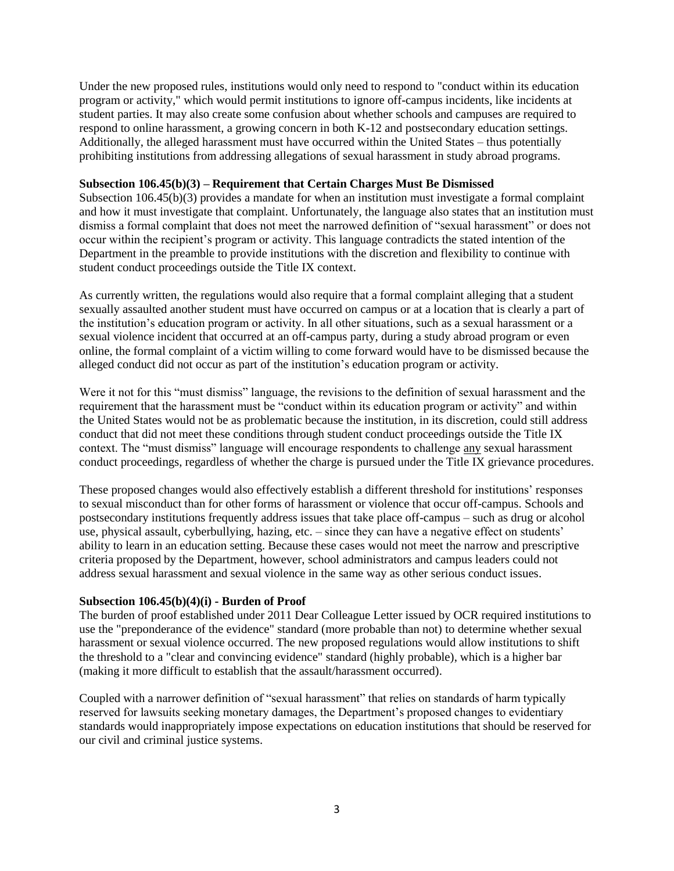Under the new proposed rules, institutions would only need to respond to "conduct within its education program or activity," which would permit institutions to ignore off-campus incidents, like incidents at student parties. It may also create some confusion about whether schools and campuses are required to respond to online harassment, a growing concern in both K-12 and postsecondary education settings. Additionally, the alleged harassment must have occurred within the United States – thus potentially prohibiting institutions from addressing allegations of sexual harassment in study abroad programs.

### **Subsection 106.45(b)(3) – Requirement that Certain Charges Must Be Dismissed**

Subsection 106.45(b)(3) provides a mandate for when an institution must investigate a formal complaint and how it must investigate that complaint. Unfortunately, the language also states that an institution must dismiss a formal complaint that does not meet the narrowed definition of "sexual harassment" or does not occur within the recipient's program or activity. This language contradicts the stated intention of the Department in the preamble to provide institutions with the discretion and flexibility to continue with student conduct proceedings outside the Title IX context.

As currently written, the regulations would also require that a formal complaint alleging that a student sexually assaulted another student must have occurred on campus or at a location that is clearly a part of the institution's education program or activity. In all other situations, such as a sexual harassment or a sexual violence incident that occurred at an off-campus party, during a study abroad program or even online, the formal complaint of a victim willing to come forward would have to be dismissed because the alleged conduct did not occur as part of the institution's education program or activity.

Were it not for this "must dismiss" language, the revisions to the definition of sexual harassment and the requirement that the harassment must be "conduct within its education program or activity" and within the United States would not be as problematic because the institution, in its discretion, could still address conduct that did not meet these conditions through student conduct proceedings outside the Title IX context. The "must dismiss" language will encourage respondents to challenge any sexual harassment conduct proceedings, regardless of whether the charge is pursued under the Title IX grievance procedures.

These proposed changes would also effectively establish a different threshold for institutions' responses to sexual misconduct than for other forms of harassment or violence that occur off-campus. Schools and postsecondary institutions frequently address issues that take place off-campus – such as drug or alcohol use, physical assault, cyberbullying, hazing, etc. – since they can have a negative effect on students' ability to learn in an education setting. Because these cases would not meet the narrow and prescriptive criteria proposed by the Department, however, school administrators and campus leaders could not address sexual harassment and sexual violence in the same way as other serious conduct issues.

## **Subsection 106.45(b)(4)(i) - Burden of Proof**

The burden of proof established under 2011 Dear Colleague Letter issued by OCR required institutions to use the "preponderance of the evidence" standard (more probable than not) to determine whether sexual harassment or sexual violence occurred. The new proposed regulations would allow institutions to shift the threshold to a "clear and convincing evidence" standard (highly probable), which is a higher bar (making it more difficult to establish that the assault/harassment occurred).

Coupled with a narrower definition of "sexual harassment" that relies on standards of harm typically reserved for lawsuits seeking monetary damages, the Department's proposed changes to evidentiary standards would inappropriately impose expectations on education institutions that should be reserved for our civil and criminal justice systems.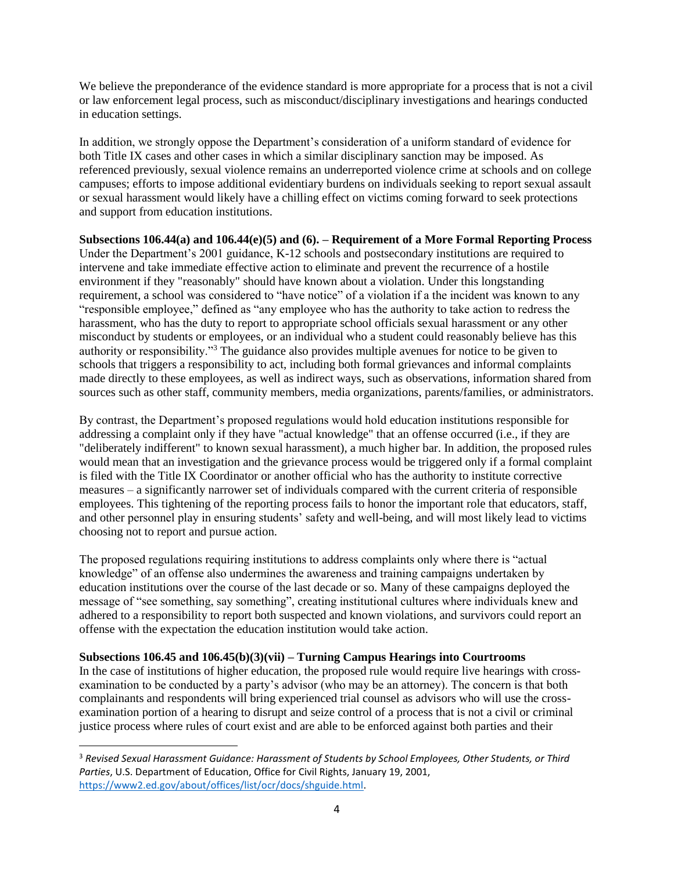We believe the preponderance of the evidence standard is more appropriate for a process that is not a civil or law enforcement legal process, such as misconduct/disciplinary investigations and hearings conducted in education settings.

In addition, we strongly oppose the Department's consideration of a uniform standard of evidence for both Title IX cases and other cases in which a similar disciplinary sanction may be imposed. As referenced previously, sexual violence remains an underreported violence crime at schools and on college campuses; efforts to impose additional evidentiary burdens on individuals seeking to report sexual assault or sexual harassment would likely have a chilling effect on victims coming forward to seek protections and support from education institutions.

**Subsections 106.44(a) and 106.44(e)(5) and (6). – Requirement of a More Formal Reporting Process** Under the Department's 2001 guidance, K-12 schools and postsecondary institutions are required to intervene and take immediate effective action to eliminate and prevent the recurrence of a hostile environment if they "reasonably" should have known about a violation. Under this longstanding requirement, a school was considered to "have notice" of a violation if a the incident was known to any "responsible employee," defined as "any employee who has the authority to take action to redress the harassment, who has the duty to report to appropriate school officials sexual harassment or any other misconduct by students or employees, or an individual who a student could reasonably believe has this authority or responsibility."<sup>3</sup> The guidance also provides multiple avenues for notice to be given to schools that triggers a responsibility to act, including both formal grievances and informal complaints made directly to these employees, as well as indirect ways, such as observations, information shared from sources such as other staff, community members, media organizations, parents/families, or administrators.

By contrast, the Department's proposed regulations would hold education institutions responsible for addressing a complaint only if they have "actual knowledge" that an offense occurred (i.e., if they are "deliberately indifferent" to known sexual harassment), a much higher bar. In addition, the proposed rules would mean that an investigation and the grievance process would be triggered only if a formal complaint is filed with the Title IX Coordinator or another official who has the authority to institute corrective measures – a significantly narrower set of individuals compared with the current criteria of responsible employees. This tightening of the reporting process fails to honor the important role that educators, staff, and other personnel play in ensuring students' safety and well-being, and will most likely lead to victims choosing not to report and pursue action.

The proposed regulations requiring institutions to address complaints only where there is "actual knowledge" of an offense also undermines the awareness and training campaigns undertaken by education institutions over the course of the last decade or so. Many of these campaigns deployed the message of "see something, say something", creating institutional cultures where individuals knew and adhered to a responsibility to report both suspected and known violations, and survivors could report an offense with the expectation the education institution would take action.

# **Subsections 106.45 and 106.45(b)(3)(vii) – Turning Campus Hearings into Courtrooms**

 $\overline{a}$ 

In the case of institutions of higher education, the proposed rule would require live hearings with crossexamination to be conducted by a party's advisor (who may be an attorney). The concern is that both complainants and respondents will bring experienced trial counsel as advisors who will use the crossexamination portion of a hearing to disrupt and seize control of a process that is not a civil or criminal justice process where rules of court exist and are able to be enforced against both parties and their

<sup>3</sup> *Revised Sexual Harassment Guidance: Harassment of Students by School Employees, Other Students, or Third Parties*, U.S. Department of Education, Office for Civil Rights, January 19, 2001, [https://www2.ed.gov/about/offices/list/ocr/docs/shguide.html.](https://www2.ed.gov/about/offices/list/ocr/docs/shguide.html)